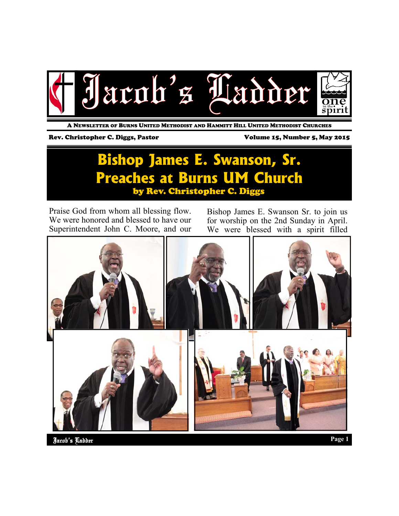

A NEWSLETTER OF BURNS UNITED METHODIST AND HAMMITT HILL UNITED METHODIST CHURCHES

#### Rev. Christopher C. Diggs, Pastor Volume 15, Number 5, May 2015

### **Bishop James E. Swanson, Sr. Preaches at Burns UM Church**  by Rev. Christopher C. Diggs

Praise God from whom all blessing flow. We were honored and blessed to have our Superintendent John C. Moore, and our

Bishop James E. Swanson Sr. to join us for worship on the 2nd Sunday in April. We were blessed with a spirit filled

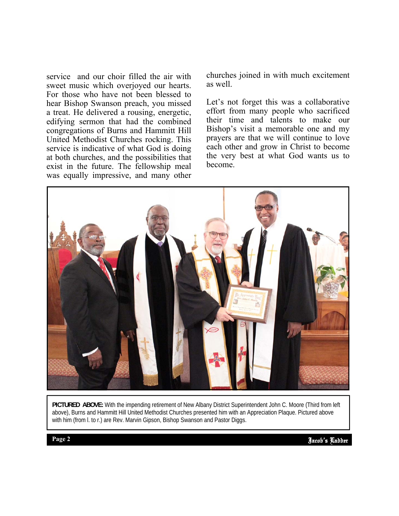service and our choir filled the air with sweet music which overjoyed our hearts. For those who have not been blessed to hear Bishop Swanson preach, you missed a treat. He delivered a rousing, energetic, edifying sermon that had the combined congregations of Burns and Hammitt Hill United Methodist Churches rocking. This service is indicative of what God is doing at both churches, and the possibilities that exist in the future. The fellowship meal was equally impressive, and many other

churches joined in with much excitement as well.

Let's not forget this was a collaborative effort from many people who sacrificed their time and talents to make our Bishop's visit a memorable one and my prayers are that we will continue to love each other and grow in Christ to become the very best at what God wants us to become.



PICTURED ABOVE: With the impending retirement of New Albany District Superintendent John C. Moore (Third from left above), Burns and Hammitt Hill United Methodist Churches presented him with an Appreciation Plaque. Pictured above with him (from I. to r.) are Rev. Marvin Gipson, Bishop Swanson and Pastor Diggs.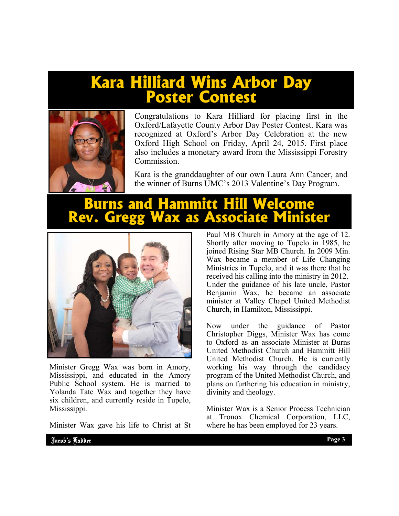# **Kara Hilliard Wins Arbor Day Poster Contest**



Congratulations to Kara Hilliard for placing first in the Oxford/Lafayette County Arbor Day Poster Contest. Kara was recognized at Oxford's Arbor Day Celebration at the new Oxford High School on Friday, April 24, 2015. First place also includes a monetary award from the Mississippi Forestry Commission.

Kara is the granddaughter of our own Laura Ann Cancer, and the winner of Burns UMC's 2013 Valentine's Day Program.

## **Burns and Hammitt Hill Welcome Rev. Gregg Wax as Associate Minister**



Minister Gregg Wax was born in Amory, Mississippi, and educated in the Amory Public School system. He is married to Yolanda Tate Wax and together they have six children, and currently reside in Tupelo, Mississippi.

Minister Wax gave his life to Christ at St

Paul MB Church in Amory at the age of 12. Shortly after moving to Tupelo in 1985, he joined Rising Star MB Church. In 2009 Min. Wax became a member of Life Changing Ministries in Tupelo, and it was there that he received his calling into the ministry in 2012. Under the guidance of his late uncle, Pastor Benjamin Wax, he became an associate minister at Valley Chapel United Methodist Church, in Hamilton, Mississippi.

Now under the guidance of Pastor Christopher Diggs, Minister Wax has come to Oxford as an associate Minister at Burns United Methodist Church and Hammitt Hill United Methodist Church. He is currently working his way through the candidacy program of the United Methodist Church, and plans on furthering his education in ministry, divinity and theology.

Minister Wax is a Senior Process Technician at Tronox Chemical Corporation, LLC, where he has been employed for 23 years.